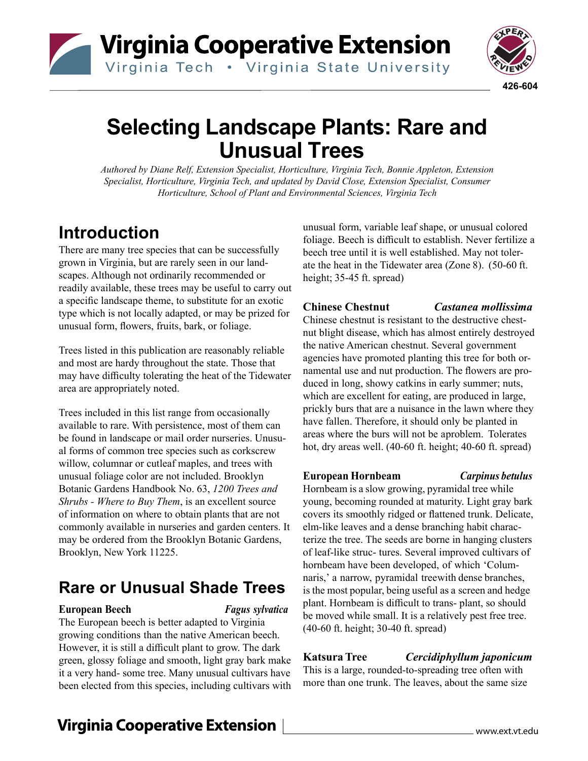# Virginia Cooperative Extension

Virginia Tech . Virginia State University



## **Selecting Landscape Plants: Rare and Unusual Trees**

*Authored by Diane Relf, Extension Specialist, Horticulture, Virginia Tech, Bonnie Appleton, Extension Specialist, Horticulture, Virginia Tech, and updated by David Close, Extension Specialist, Consumer Horticulture, School of Plant and Environmental Sciences, Virginia Tech*

## **Introduction**

There are many tree species that can be successfully grown in Virginia, but are rarely seen in our landscapes. Although not ordinarily recommended or readily available, these trees may be useful to carry out a specific landscape theme, to substitute for an exotic type which is not locally adapted, or may be prized for unusual form, flowers, fruits, bark, or foliage.

Trees listed in this publication are reasonably reliable and most are hardy throughout the state. Those that may have difficulty tolerating the heat of the Tidewater area are appropriately noted.

Trees included in this list range from occasionally available to rare. With persistence, most of them can be found in landscape or mail order nurseries. Unusual forms of common tree species such as corkscrew willow, columnar or cutleaf maples, and trees with unusual foliage color are not included. Brooklyn Botanic Gardens Handbook No. 63, *1200 Trees and Shrubs - Where to Buy Them*, is an excellent source of information on where to obtain plants that are not commonly available in nurseries and garden centers. It may be ordered from the Brooklyn Botanic Gardens, Brooklyn, New York 11225.

## **Rare or Unusual Shade Trees**

#### **European Beech** *Fagus sylvatica*

The European beech is better adapted to Virginia growing conditions than the native American beech. However, it is still a difficult plant to grow. The dark green, glossy foliage and smooth, light gray bark make it a very hand- some tree. Many unusual cultivars have been elected from this species, including cultivars with

unusual form, variable leaf shape, or unusual colored foliage. Beech is difficult to establish. Never fertilize a beech tree until it is well established. May not tolerate the heat in the Tidewater area (Zone 8). (50-60 ft. height; 35-45 ft. spread)

**Chinese Chestnut** *Castanea mollissima*

Chinese chestnut is resistant to the destructive chestnut blight disease, which has almost entirely destroyed the native American chestnut. Several government agencies have promoted planting this tree for both ornamental use and nut production. The flowers are produced in long, showy catkins in early summer; nuts, which are excellent for eating, are produced in large, prickly burs that are a nuisance in the lawn where they have fallen. Therefore, it should only be planted in areas where the burs will not be aproblem. Tolerates hot, dry areas well. (40-60 ft. height; 40-60 ft. spread)

### **European Hornbeam** *Carpinus betulus*

Hornbeam is a slow growing, pyramidal tree while young, becoming rounded at maturity. Light gray bark covers its smoothly ridged or flattened trunk. Delicate, elm-like leaves and a dense branching habit characterize the tree. The seeds are borne in hanging clusters of leaf-like struc- tures. Several improved cultivars of hornbeam have been developed, of which 'Columnaris,' a narrow, pyramidal treewith dense branches, is the most popular, being useful as a screen and hedge plant. Hornbeam is difficult to trans- plant, so should be moved while small. It is a relatively pest free tree. (40-60 ft. height; 30-40 ft. spread)

**Katsura Tree** *Cercidiphyllum japonicum*

This is a large, rounded-to-spreading tree often with more than one trunk. The leaves, about the same size

## **Virginia Cooperative Extension**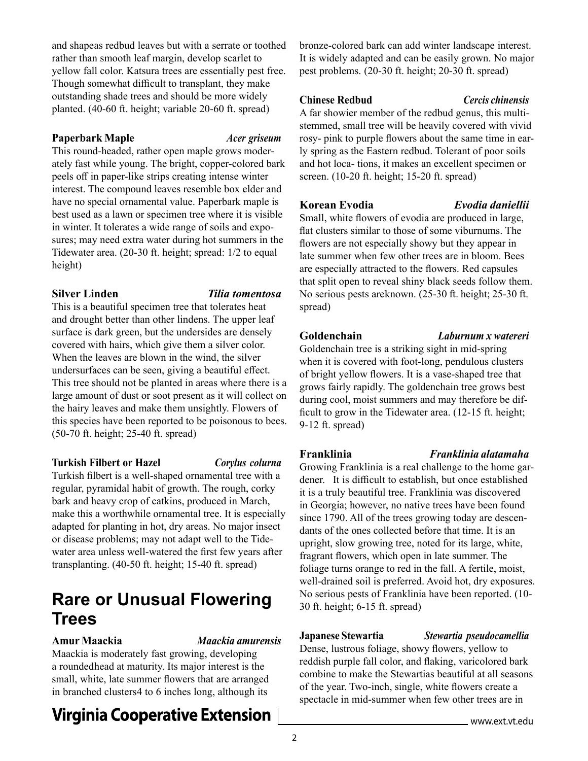and shapeas redbud leaves but with a serrate or toothed rather than smooth leaf margin, develop scarlet to yellow fall color. Katsura trees are essentially pest free. Though somewhat difficult to transplant, they make outstanding shade trees and should be more widely planted. (40-60 ft. height; variable 20-60 ft. spread)

#### **Paperbark Maple** *Acer griseum*

This round-headed, rather open maple grows moderately fast while young. The bright, copper-colored bark peels off in paper-like strips creating intense winter interest. The compound leaves resemble box elder and have no special ornamental value. Paperbark maple is best used as a lawn or specimen tree where it is visible in winter. It tolerates a wide range of soils and exposures; may need extra water during hot summers in the Tidewater area. (20-30 ft. height; spread: 1/2 to equal height)

#### **Silver Linden** *Tilia tomentosa*

This is a beautiful specimen tree that tolerates heat and drought better than other lindens. The upper leaf surface is dark green, but the undersides are densely covered with hairs, which give them a silver color. When the leaves are blown in the wind, the silver undersurfaces can be seen, giving a beautiful effect. This tree should not be planted in areas where there is a large amount of dust or soot present as it will collect on the hairy leaves and make them unsightly. Flowers of this species have been reported to be poisonous to bees. (50-70 ft. height; 25-40 ft. spread)

### **Turkish Filbert or Hazel** *Corylus colurna*

Turkish filbert is a well-shaped ornamental tree with a regular, pyramidal habit of growth. The rough, corky bark and heavy crop of catkins, produced in March, make this a worthwhile ornamental tree. It is especially adapted for planting in hot, dry areas. No major insect or disease problems; may not adapt well to the Tidewater area unless well-watered the first few years after transplanting. (40-50 ft. height; 15-40 ft. spread)

## **Rare or Unusual Flowering Trees**

**Amur Maackia** *Maackia amurensis*

Maackia is moderately fast growing, developing a rounded head at maturity. Its major interest is the small, white, late summer flowers that are arranged in branched clusters4 to 6 inches long, although its

## **Virginia Cooperative Extension**

bronze-colored bark can add winter landscape interest. It is widely adapted and can be easily grown. No major pest problems. (20-30 ft. height; 20-30 ft. spread)

### **Chinese Redbud** *Cercis chinensis*

A far showier member of the redbud genus, this multistemmed, small tree will be heavily covered with vivid rosy- pink to purple flowers about the same time in early spring as the Eastern redbud. Tolerant of poor soils and hot loca- tions, it makes an excellent specimen or screen. (10-20 ft. height; 15-20 ft. spread)

### **Korean Evodia** *Evodia daniellii*

Small, white flowers of evodia are produced in large, flat clusters similar to those of some viburnums. The flowers are not especially showy but they appear in late summer when few other trees are in bloom. Bees are especially attracted to the flowers. Red capsules that split open to reveal shiny black seeds follow them. No serious pests areknown. (25-30 ft. height; 25-30 ft. spread)

### **Goldenchain** *Laburnum x watereri*

Goldenchain tree is a striking sight in mid-spring when it is covered with foot-long, pendulous clusters of bright yellow flowers. It is a vase-shaped tree that grows fairly rapidly. The goldenchain tree grows best during cool, moist summers and may therefore be difficult to grow in the Tidewater area. (12-15 ft. height; 9-12 ft. spread)

### **Franklinia** *Franklinia alatamaha*

Growing Franklinia is a real challenge to the home gardener. It is difficult to establish, but once established it is a truly beautiful tree. Franklinia was discovered in Georgia; however, no native trees have been found since 1790. All of the trees growing today are descendants of the ones collected before that time. It is an upright, slow growing tree, noted for its large, white, fragrant flowers, which open in late summer. The foliage turns orange to red in the fall. A fertile, moist, well-drained soil is preferred. Avoid hot, dry exposures. No serious pests of Franklinia have been reported. (10- 30 ft. height; 6-15 ft. spread)

### **Japanese Stewartia** *Stewartia pseudocamellia*

Dense, lustrous foliage, showy flowers, yellow to reddish purple fall color, and flaking, varicolored bark combine to make the Stewartias beautiful at all seasons of the year. Two-inch, single, white flowers create a spectacle in mid-summer when few other trees are in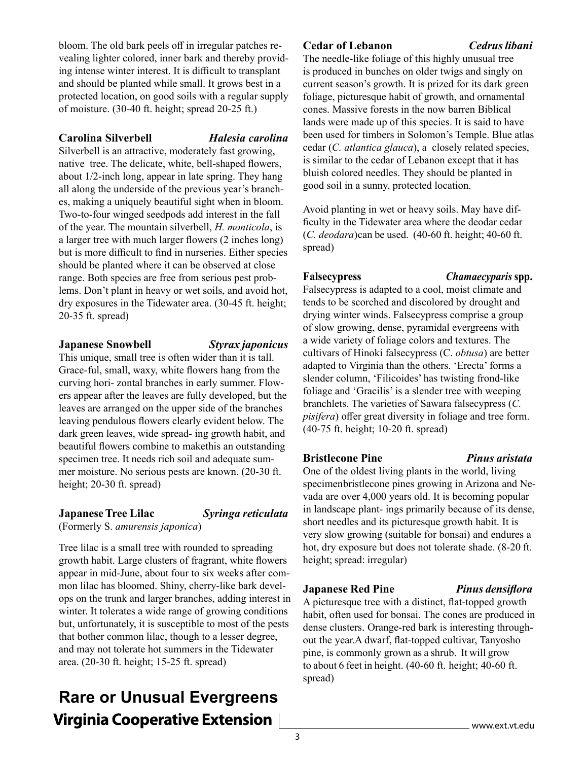bloom. The old bark peels off in irregular patches revealing lighter colored, inner bark and thereby providing intense winter interest. It is difficult to transplant and should be planted while small. It grows best in a protected location, on good soils with a regular supply of moisture. (30-40 ft. height; spread 20-25 ft.)

#### **Carolina Silverbell** *Halesia carolina*

Silverbell is an attractive, moderately fast growing, native tree. The delicate, white, bell-shaped flowers, about 1/2-inch long, appear in late spring. They hang all along the underside of the previous year's branches, making a uniquely beautiful sight when in bloom. Two-to-four winged seedpods add interest in the fall of the year. The mountain silverbell, *H. monticola*, is a larger tree with much larger flowers (2 inches long) but is more difficult to find in nurseries. Either species should be planted where it can be observed at close range. Both species are free from serious pest problems. Don't plant in heavy or wet soils, and avoid hot, dry exposures in the Tidewater area. (30-45 ft. height; 20-35 ft. spread)

#### **Japanese Snowbell** *Styrax japonicus*

This unique, small tree is often wider than it is tall. Grace- ful, small, waxy, white flowers hang from the curving hori- zontal branches in early summer. Flowers appear after the leaves are fully developed, but the leaves are arranged on the upper side of the branches leaving pendulous flowers clearly evident below. The dark green leaves, wide spread- ing growth habit, and beautiful flowers combine to makethis an outstanding specimen tree. It needs rich soil and adequate summer moisture. No serious pests are known. (20-30 ft. height; 20-30 ft. spread)

### **Japanese Tree Lilac** *Syringa reticulata*

(Formerly S. *amurensis japonica*)

Tree lilac is a small tree with rounded to spreading growth habit. Large clusters of fragrant, white flowers appear in mid-June, about four to six weeks after common lilac has bloomed. Shiny, cherry-like bark develops on the trunk and larger branches, adding interest in winter. It tolerates a wide range of growing conditions but, unfortunately, it is susceptible to most of the pests that bother common lilac, though to a lesser degree, and may not tolerate hot summers in the Tidewater area. (20-30 ft. height; 15-25 ft. spread)

## **Rare or Unusual Evergreens Virginia Cooperative Extension**

### **Cedar of Lebanon** *Cedrus libani*

The needle-like foliage of this highly unusual tree is produced in bunches on older twigs and singly on current season's growth. It is prized for its dark green foliage, picturesque habit of growth, and ornamental cones. Massive forests in the now barren Biblical lands were made up of this species. It is said to have been used for timbers in Solomon's Temple. Blue atlas cedar (*C. atlantica glauca*), a closely related species, is similar to the cedar of Lebanon except that it has bluish colored needles. They should be planted in good soil in a sunny, protected location.

Avoid planting in wet or heavy soils. May have difficulty in the Tidewater area where the deodar cedar (*C. deodara*) can be used. (40-60 ft. height; 40-60 ft. spread)

#### **Falsecypress** *Chamaecyparis* **spp.**

Falsecypress is adapted to a cool, moist climate and tends to be scorched and discolored by drought and drying winter winds. Falsecypress comprise a group of slow growing, dense, pyramidal evergreens with a wide variety of foliage colors and textures. The cultivars of Hinoki falsecypress (C. *obtusa*) are better adapted to Virginia than the others. 'Erecta' forms a slender column, 'Filicoides' has twisting frond-like foliage and 'Gracilis' is a slender tree with weeping branchlets. The varieties of Sawara falsecypress (*C. pisifera*) offer great diversity in foliage and tree form. (40-75 ft. height; 10-20 ft. spread)

### **Bristlecone Pine** *Pinus aristata*

One of the oldest living plants in the world, living specimen bristlecone pines growing in Arizona and Nevada are over 4,000 years old. It is becoming popular in landscape plant- ings primarily because of its dense, short needles and its picturesque growth habit. It is very slow growing (suitable for bonsai) and endures a hot, dry exposure but does not tolerate shade. (8-20 ft. height; spread: irregular)

### **Japanese Red Pine** *Pinus densiflora*

A picturesque tree with a distinct, flat-topped growth habit, often used for bonsai. The cones are produced in dense clusters. Orange-red bark is interesting throughout the year. A dwarf, flat-topped cultivar, Tanyosho pine, is commonly grown as a shrub. It will grow to about 6 feet in height. (40-60 ft. height; 40-60 ft. spread)